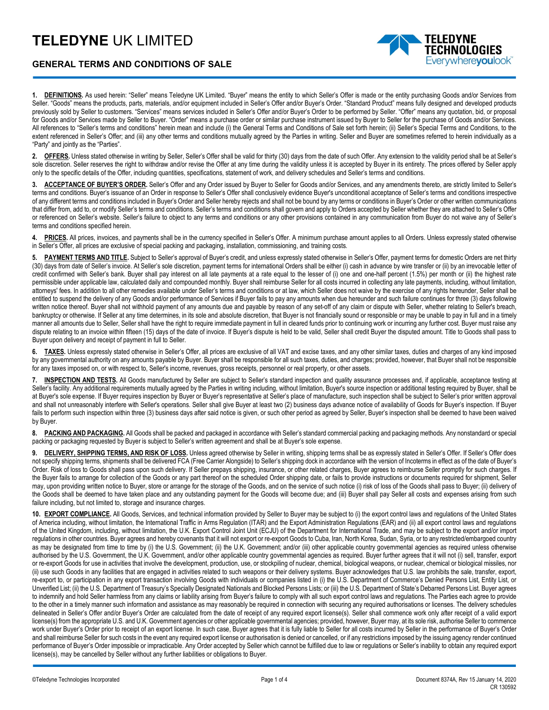## **TELEDYNE** UK LIMITED



## **GENERAL TERMS AND CONDITIONS OF SALE**

**1. DEFINITIONS.** As used herein: "Seller" means Teledyne UK Limited. "Buyer" means the entity to which Seller's Offer is made or the entity purchasing Goods and/or Services from Seller. "Goods" means the products, parts, materials, and/or equipment included in Seller's Offer and/or Buyer's Order. "Standard Product" means fully designed and developed products previously sold by Seller to customers. "Services" means services included in Seller's Offer and/or Buyer's Order to be performed by Seller. "Offer" means any quotation, bid, or proposal for Goods and/or Services made by Seller to Buyer. "Order" means a purchase order or similar purchase instrument issued by Buyer to Seller for the purchase of Goods and/or Services. All references to "Seller's terms and conditions" herein mean and include (i) the General Terms and Conditions of Sale set forth herein; (ii) Seller's Special Terms and Conditions, to the extent referenced in Seller's Offer; and (iii) any other terms and conditions mutually agreed by the Parties in writing. Seller and Buyer are sometimes referred to herein individually as a "Party" and jointly as the "Parties".

**2. OFFERS.** Unless stated otherwise in writing by Seller, Seller's Offer shall be valid for thirty (30) days from the date of such Offer. Any extension to the validity period shall be at Seller's sole discretion. Seller reserves the right to withdraw and/or revise the Offer at any time during the validity unless it is accepted by Buyer in its entirety. The prices offered by Seller apply only to the specific details of the Offer, including quantities, specifications, statement of work, and delivery schedules and Seller's terms and conditions.

**3. ACCEPTANCE OF BUYER'S ORDER.** Seller's Offer and any Order issued by Buyer to Seller for Goods and/or Services, and any amendments thereto, are strictly limited to Seller's terms and conditions. Buyer's issuance of an Order in response to Seller's Offer shall conclusively evidence Buyer's unconditional acceptance of Seller's terms and conditions irrespective of any different terms and conditions included in Buyer's Order and Seller hereby rejects and shall not be bound by any terms or conditions in Buyer's Order or other written communications that differ from, add to, or modify Seller's terms and conditions. Seller's terms and conditions shall govern and apply to Orders accepted by Seller whether they are attached to Seller's Offer or referenced on Seller's website. Seller's failure to object to any terms and conditions or any other provisions contained in any communication from Buyer do not waive any of Seller's terms and conditions specified herein.

4. **PRICES.** All prices, invoices, and payments shall be in the currency specified in Seller's Offer. A minimum purchase amount applies to all Orders. Unless expressly stated otherwise in Seller's Offer, all prices are exclusive of special packing and packaging, installation, commissioning, and training costs.

**5. PAYMENT TERMS AND TITLE.** Subject to Seller's approval of Buyer's credit, and unless expressly stated otherwise in Seller's Offer, payment terms for domestic Orders are net thirty (30) days from date of Seller's invoice. At Seller's sole discretion, payment terms for international Orders shall be either (i) cash in advance by wire transfer or (ii) by an irrevocable letter of credit confirmed with Seller's bank. Buyer shall pay interest on all late payments at a rate equal to the lesser of (i) one and one-half percent (1.5%) per month or (ii) the highest rate permissible under applicable law, calculated daily and compounded monthly. Buyer shall reimburse Seller for all costs incurred in collecting any late payments, including, without limitation, attorneys' fees. In addition to all other remedies available under Seller's terms and conditions or at law, which Seller does not waive by the exercise of any rights hereunder, Seller shall be entitled to suspend the delivery of any Goods and/or performance of Services if Buyer fails to pay any amounts when due hereunder and such failure continues for three (3) days following written notice thereof. Buyer shall not withhold payment of any amounts due and payable by reason of any set-off of any claim or dispute with Seller, whether relating to Seller's breach, bankruptcy or otherwise. If Seller at any time determines, in its sole and absolute discretion, that Buyer is not financially sound or responsible or may be unable to pay in full and in a timely manner all amounts due to Seller, Seller shall have the right to require immediate payment in full in cleared funds prior to continuing work or incurring any further cost. Buyer must raise any dispute relating to an invoice within fifteen (15) days of the date of invoice. If Buyer's dispute is held to be valid, Seller shall credit Buyer the disputed amount. Title to Goods shall pass to Buyer upon delivery and receipt of payment in full to Seller.

**6. TAXES.** Unless expressly stated otherwise in Seller's Offer, all prices are exclusive of all VAT and excise taxes, and any other similar taxes, duties and charges of any kind imposed by any governmental authority on any amounts payable by Buyer. Buyer shall be responsible for all such taxes, duties, and charges; provided, however, that Buyer shall not be responsible for any taxes imposed on, or with respect to, Seller's income, revenues, gross receipts, personnel or real property, or other assets.

**7. INSPECTION AND TESTS.** All Goods manufactured by Seller are subject to Seller's standard inspection and quality assurance processes and, if applicable, acceptance testing at Seller's facility. Any additional requirements mutually agreed by the Parties in writing including, without limitation, Buyer's source inspection or additional testing required by Buyer, shall be at Buyer's sole expense. If Buyer requires inspection by Buyer or Buyer's representative at Seller's place of manufacture, such inspection shall be subject to Seller's prior written approval and shall not unreasonably interfere with Seller's operations. Seller shall give Buyer at least two (2) business days advance notice of availability of Goods for Buyer's inspection. If Buyer fails to perform such inspection within three (3) business days after said notice is given, or such other period as agreed by Seller, Buyer's inspection shall be deemed to have been waived by Buyer.

8. PACKING AND PACKAGING. All Goods shall be packed and packaged in accordance with Seller's standard commercial packing and packaging methods. Any nonstandard or special packing or packaging requested by Buyer is subject to Seller's written agreement and shall be at Buyer's sole expense.

**9. DELIVERY, SHIPPING TERMS, AND RISK OF LOSS.** Unless agreed otherwise by Seller in writing, shipping terms shall be as expressly stated in Seller's Offer. If Seller's Offer does not specify shipping terms, shipments shall be delivered FCA (Free Carrier Alongside) to Seller's shipping dock in accordance with the version of Incoterms in effect as of the date of Buyer's Order. Risk of loss to Goods shall pass upon such delivery. If Seller prepays shipping, insurance, or other related charges, Buyer agrees to reimburse Seller promptly for such charges. If the Buyer fails to arrange for collection of the Goods or any part thereof on the scheduled Order shipping date, or fails to provide instructions or documents required for shipment, Seller may, upon providing written notice to Buyer, store or arrange for the storage of the Goods, and on the service of such notice (i) risk of loss of the Goods shall pass to Buyer; (ii) delivery of the Goods shall be deemed to have taken place and any outstanding payment for the Goods will become due; and (iii) Buyer shall pay Seller all costs and expenses arising from such failure including, but not limited to, storage and insurance charges.

**10. EXPORT COMPLIANCE.** All Goods, Services, and technical information provided by Seller to Buyer may be subject to (i) the export control laws and regulations of the United States of America including, without limitation, the International Traffic in Arms Regulation (ITAR) and the Export Administration Regulations (EAR) and (ii) all export control laws and regulations of the United Kingdom, including, without limitation, the U.K. Export Control Joint Unit (ECJU) of the Department for International Trade, and may be subject to the export and/or import regulations in other countries. Buyer agrees and hereby covenants that it will not export or re-export Goods to Cuba, Iran, North Korea, Sudan, Syria, or to any restricted/embargoed country as may be designated from time to time by (i) the U.S. Government; (ii) the U.K. Government; and/or (iii) other applicable country governmental agencies as required unless otherwise authorised by the U.S. Government, the U.K. Government, and/or other applicable country governmental agencies as required. Buyer further agrees that it will not (i) sell, transfer, export or re-export Goods for use in activities that involve the development, production, use, or stockpiling of nuclear, chemical, biological weapons, or nuclear, chemical or biological missiles, nor (ii) use such Goods in any facilities that are engaged in activities related to such weapons or their delivery systems. Buyer acknowledges that U.S. law prohibits the sale, transfer, export, re-export to, or participation in any export transaction involving Goods with individuals or companies listed in (i) the U.S. Department of Commerce's Denied Persons List, Entity List, or Unverified List; (ii) the U.S. Department of Treasury's Specially Designated Nationals and Blocked Persons Lists; or (iii) the U.S. Department of State's Debarred Persons List. Buyer agrees to indemnify and hold Seller harmless from any claims or liability arising from Buyer's failure to comply with all such export control laws and regulations. The Parties each agree to provide to the other in a timely manner such information and assistance as may reasonably be required in connection with securing any required authorisations or licenses. The delivery schedules delineated in Seller's Offer and/or Buyer's Order are calculated from the date of receipt of any required export license(s). Seller shall commence work only after receipt of a valid export license(s) from the appropriate U.S. and U.K. Government agencies or other applicable governmental agencies; provided, however, Buyer may, at its sole risk, authorise Seller to commence work under Buyer's Order prior to receipt of an export license. In such case, Buyer agrees that it is fully liable to Seller for all costs incurred by Seller in the performance of Buyer's Order and shall reimburse Seller for such costs in the event any required export license or authorisation is denied or cancelled, or if any restrictions imposed by the issuing agency render continued performance of Buyer's Order impossible or impracticable. Any Order accepted by Seller which cannot be fulfilled due to law or regulations or Seller's inability to obtain any required export license(s), may be cancelled by Seller without any further liabilities or obligations to Buyer.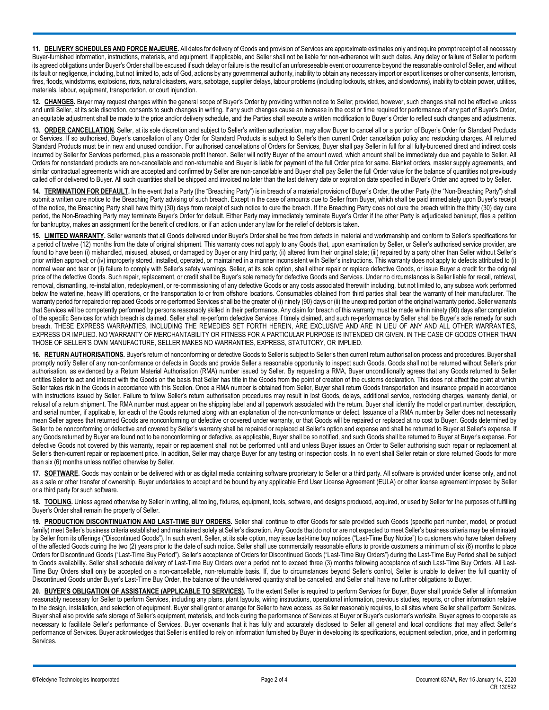**11. DELIVERY SCHEDULES AND FORCE MAJEURE.** All dates for delivery of Goods and provision of Services are approximate estimates only and require prompt receipt of all necessary Buyer-furnished information, instructions, materials, and equipment, if applicable, and Seller shall not be liable for non-adherence with such dates. Any delay or failure of Seller to perform its agreed obligations under Buyer's Order shall be excused if such delay or failure is the result of an unforeseeable event or occurrence beyond the reasonable control of Seller, and without its fault or negligence, including, but not limited to, acts of God, actions by any governmental authority, inability to obtain any necessary import or export licenses or other consents, terrorism, fires, floods, windstorms, explosions, riots, natural disasters, wars, sabotage, supplier delays, labour problems (including lockouts, strikes, and slowdowns), inability to obtain power, utilities, materials, labour, equipment, transportation, or court injunction.

**12. CHANGES.** Buyer may request changes within the general scope of Buyer's Order by providing written notice to Seller; provided, however, such changes shall not be effective unless and until Seller, at its sole discretion, consents to such changes in writing. If any such changes cause an increase in the cost or time required for performance of any part of Buyer's Order, an equitable adjustment shall be made to the price and/or delivery schedule, and the Parties shall execute a written modification to Buyer's Order to reflect such changes and adjustments.

**13. ORDER CANCELLATION.** Seller, at its sole discretion and subject to Seller's written authorisation, may allow Buyer to cancel all or a portion of Buyer's Order for Standard Products or Services. If so authorised, Buyer's cancellation of any Order for Standard Products is subject to Seller's then current Order cancellation policy and restocking charges. All returned Standard Products must be in new and unused condition. For authorised cancellations of Orders for Services, Buyer shall pay Seller in full for all fully-burdened direct and indirect costs incurred by Seller for Services performed, plus a reasonable profit thereon. Seller will notify Buyer of the amount owed, which amount shall be immediately due and payable to Seller. All Orders for nonstandard products are non-cancellable and non-returnable and Buyer is liable for payment of the full Order price for same. Blanket orders, master supply agreements, and similar contractual agreements which are accepted and confirmed by Seller are non-cancellable and Buyer shall pay Seller the full Order value for the balance of quantities not previously called off or delivered to Buyer. All such quantities shall be shipped and invoiced no later than the last delivery date or expiration date specified in Buyer's Order and agreed to by Seller.

14. **TERMINATION FOR DEFAULT**. In the event that a Party (the "Breaching Party") is in breach of a material provision of Buyer's Order, the other Party (the "Non-Breaching Party") shall submit a written cure notice to the Breaching Party advising of such breach. Except in the case of amounts due to Seller from Buyer, which shall be paid immediately upon Buyer's receipt of the notice, the Breaching Party shall have thirty (30) days from receipt of such notice to cure the breach. If the Breaching Party does not cure the breach within the thirty (30) day cure period, the Non-Breaching Party may terminate Buyer's Order for default. Either Party may immediately terminate Buyer's Order if the other Party is adjudicated bankrupt, files a petition for bankruptcy, makes an assignment for the benefit of creditors, or if an action under any law for the relief of debtors is taken.

**15. LIMITED WARRANTY.** Seller warrants that all Goods delivered under Buyer's Order shall be free from defects in material and workmanship and conform to Seller's specifications for a period of twelve (12) months from the date of original shipment. This warranty does not apply to any Goods that, upon examination by Seller, or Seller's authorised service provider, are found to have been (i) mishandled, misused, abused, or damaged by Buyer or any third party; (ii) altered from their original state; (iii) repaired by a party other than Seller without Seller's prior written approval; or (iv) improperly stored, installed, operated, or maintained in a manner inconsistent with Seller's instructions. This warranty does not apply to defects attributed to (i) normal wear and tear or (ii) failure to comply with Seller's safety warnings. Seller, at its sole option, shall either repair or replace defective Goods, or issue Buyer a credit for the original price of the defective Goods. Such repair, replacement, or credit shall be Buyer's sole remedy for defective Goods and Services. Under no circumstances is Seller liable for recall, retrieval, removal, dismantling, re-installation, redeployment, or re-commissioning of any defective Goods or any costs associated therewith including, but not limited to, any subsea work performed below the waterline, heavy lift operations, or the transportation to or from offshore locations. Consumables obtained from third parties shall bear the warranty of their manufacturer. The warranty period for repaired or replaced Goods or re-performed Services shall be the greater of (i) ninety (90) days or (ii) the unexpired portion of the original warranty period. Seller warrants that Services will be competently performed by persons reasonably skilled in their performance. Any claim for breach of this warranty must be made within ninety (90) days after completion of the specific Services for which breach is claimed. Seller shall re-perform defective Services if timely claimed, and such re-performance by Seller shall be Buyer's sole remedy for such breach. THESE EXPRESS WARRANTIES, INCLUDING THE REMEDIES SET FORTH HEREIN, ARE EXCLUSIVE AND ARE IN LIEU OF ANY AND ALL OTHER WARRANTIES, EXPRESS OR IMPLIED. NO WARRANTY OF MERCHANTABILITY OR FITNESS FOR A PARTICULAR PURPOSE IS INTENDED OR GIVEN. IN THE CASE OF GOODS OTHER THAN THOSE OF SELLER'S OWN MANUFACTURE, SELLER MAKES NO WARRANTIES, EXPRESS, STATUTORY, OR IMPLIED.

**16. RETURN AUTHORISATIONS.** Buyer's return of nonconforming or defective Goods to Seller is subject to Seller's then current return authorisation process and procedures. Buyer shall promptly notify Seller of any non-conformance or defects in Goods and provide Seller a reasonable opportunity to inspect such Goods. Goods shall not be returned without Seller's prior authorisation, as evidenced by a Return Material Authorisation (RMA) number issued by Seller. By requesting a RMA, Buyer unconditionally agrees that any Goods returned to Seller entitles Seller to act and interact with the Goods on the basis that Seller has title in the Goods from the point of creation of the customs declaration. This does not affect the point at which Seller takes risk in the Goods in accordance with this Section. Once a RMA number is obtained from Seller, Buyer shall return Goods transportation and insurance prepaid in accordance with instructions issued by Seller. Failure to follow Seller's return authorisation procedures may result in lost Goods, delays, additional service, restocking charges, warranty denial, or refusal of a return shipment. The RMA number must appear on the shipping label and all paperwork associated with the return. Buyer shall identify the model or part number, description, and serial number, if applicable, for each of the Goods returned along with an explanation of the non-conformance or defect. Issuance of a RMA number by Seller does not necessarily mean Seller agrees that returned Goods are nonconforming or defective or covered under warranty, or that Goods will be repaired or replaced at no cost to Buyer. Goods determined by Seller to be nonconforming or defective and covered by Seller's warranty shall be repaired or replaced at Seller's option and expense and shall be returned to Buyer at Seller's expense. If any Goods returned by Buyer are found not to be nonconforming or defective, as applicable, Buyer shall be so notified, and such Goods shall be returned to Buyer at Buyer's expense. For defective Goods not covered by this warranty, repair or replacement shall not be performed until and unless Buyer issues an Order to Seller authorising such repair or replacement at Seller's then-current repair or replacement price. In addition, Seller may charge Buyer for any testing or inspection costs. In no event shall Seller retain or store returned Goods for more than six (6) months unless notified otherwise by Seller.

17. SOFTWARE. Goods may contain or be delivered with or as digital media containing software proprietary to Seller or a third party. All software is provided under license only, and not as a sale or other transfer of ownership. Buyer undertakes to accept and be bound by any applicable End User License Agreement (EULA) or other license agreement imposed by Seller or a third party for such software.

**18. TOOLING.** Unless agreed otherwise by Seller in writing, all tooling, fixtures, equipment, tools, software, and designs produced, acquired, or used by Seller for the purposes of fulfilling Buyer's Order shall remain the property of Seller.

**19. PRODUCTION DISCONTINUATION AND LAST-TIME BUY ORDERS.** Seller shall continue to offer Goods for sale provided such Goods (specific part number, model, or product family) meet Seller's business criteria established and maintained solely at Seller's discretion. Any Goods that do not or are not expected to meet Seller's business criteria may be eliminated by Seller from its offerings ("Discontinued Goods"). In such event, Seller, at its sole option, may issue last-time buy notices ("Last-Time Buy Notice") to customers who have taken delivery of the affected Goods during the two (2) years prior to the date of such notice. Seller shall use commercially reasonable efforts to provide customers a minimum of six (6) months to place Orders for Discontinued Goods ("Last-Time Buy Period"). Seller's acceptance of Orders for Discontinued Goods ("Last-Time Buy Orders") during the Last-Time Buy Period shall be subject to Goods availability. Seller shall schedule delivery of Last-Time Buy Orders over a period not to exceed three (3) months following acceptance of such Last-Time Buy Orders. All Last-Time Buy Orders shall only be accepted on a non-cancellable, non-returnable basis. If, due to circumstances beyond Seller's control, Seller is unable to deliver the full quantity of Discontinued Goods under Buyer's Last-Time Buy Order, the balance of the undelivered quantity shall be cancelled, and Seller shall have no further obligations to Buyer.

**20. BUYER'S OBLIGATION OF ASSISTANCE (APPLICABLE TO SERVICES).** To the extent Seller is required to perform Services for Buyer, Buyer shall provide Seller all information reasonably necessary for Seller to perform Services, including any plans, plant layouts, wiring instructions, operational information, previous studies, reports, or other information relative to the design, installation, and selection of equipment. Buyer shall grant or arrange for Seller to have access, as Seller reasonably requires, to all sites where Seller shall perform Services. Buyer shall also provide safe storage of Seller's equipment, materials, and tools during the performance of Services at Buyer or Buyer's customer's worksite. Buyer agrees to cooperate as necessary to facilitate Seller's performance of Services. Buyer covenants that it has fully and accurately disclosed to Seller all general and local conditions that may affect Seller's performance of Services. Buyer acknowledges that Seller is entitled to rely on information furnished by Buyer in developing its specifications, equipment selection, price, and in performing Services.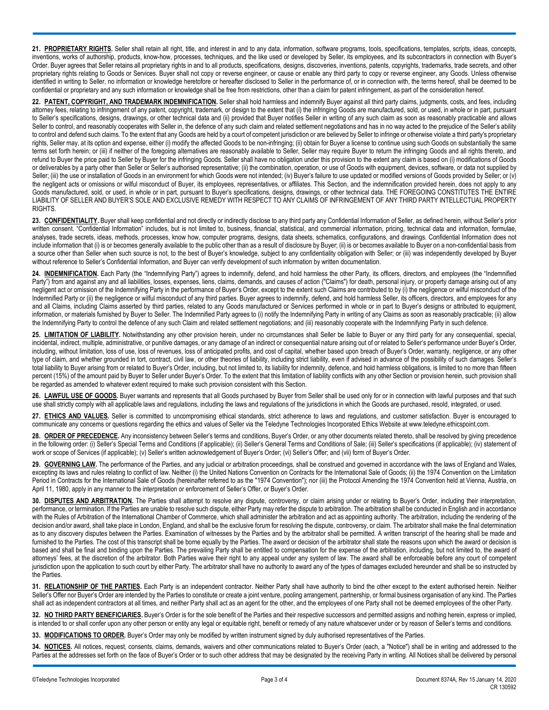**21. PROPRIETARY RIGHTS.** Seller shall retain all right, title, and interest in and to any data, information, software programs, tools, specifications, templates, scripts, ideas, concepts, inventions, works of authorship, products, know-how, processes, techniques, and the like used or developed by Seller, its employees, and its subcontractors in connection with Buyer's Order. Buyer agrees that Seller retains all proprietary rights in and to all products, specifications, designs, discoveries, inventions, patents, copyrights, trademarks, trade secrets, and other proprietary rights relating to Goods or Services. Buyer shall not copy or reverse engineer, or cause or enable any third party to copy or reverse engineer, any Goods. Unless otherwise identified in writing to Seller, no information or knowledge heretofore or hereafter disclosed to Seller in the performance of, or in connection with, the terms hereof, shall be deemed to be confidential or proprietary and any such information or knowledge shall be free from restrictions, other than a claim for patent infringement, as part of the consideration hereof.

**22. PATENT, COPYRIGHT, AND TRADEMARK INDEMNIFICATION.** Seller shall hold harmless and indemnify Buyer against all third party claims, judgments, costs, and fees, including attorney fees, relating to infringement of any patent, copyright, trademark, or design to the extent that (i) the infringing Goods are manufactured, sold, or used, in whole or in part, pursuant to Seller's specifications, designs, drawings, or other technical data and (ii) provided that Buyer notifies Seller in writing of any such claim as soon as reasonably practicable and allows Seller to control, and reasonably cooperates with Seller in, the defence of any such claim and related settlement negotiations and has in no way acted to the prejudice of the Seller's ability to control and defend such claims. To the extent that any Goods are held by a court of competent jurisdiction or are believed by Seller to infringe or otherwise violate a third party's proprietary rights, Seller may, at its option and expense, either (i) modify the affected Goods to be non-infringing; (ii) obtain for Buyer a license to continue using such Goods on substantially the same terms set forth herein; or (iii) if neither of the foregoing alternatives are reasonably available to Seller, Seller may require Buyer to return the infringing Goods and all rights thereto, and refund to Buyer the price paid to Seller by Buyer for the infringing Goods. Seller shall have no obligation under this provision to the extent any claim is based on (i) modifications of Goods or deliverables by a party other than Seller or Seller's authorised representative; (ii) the combination, operation, or use of Goods with equipment, devices, software, or data not supplied by Seller; (iii) the use or installation of Goods in an environment for which Goods were not intended; (iv) Buyer's failure to use updated or modified versions of Goods provided by Seller; or (y) the negligent acts or omissions or wilful misconduct of Buyer, its employees, representatives, or affiliates. This Section, and the indemnification provided herein, does not apply to any Goods manufactured, sold, or used, in whole or in part, pursuant to Buyer's specifications, designs, drawings, or other technical data. THE FOREGOING CONSTITUTES THE ENTIRE LIABILITY OF SELLER AND BUYER'S SOLE AND EXCLUSIVE REMEDY WITH RESPECT TO ANY CLAIMS OF INFRINGEMENT OF ANY THIRD PARTY INTELLECTUAL PROPERTY RIGHTS.

23. CONFIDENTIALITY. Buyer shall keep confidential and not directly or indirectly disclose to any third party any Confidential Information of Seller, as defined herein, without Seller's prior written consent. "Confidential Information" includes, but is not limited to, business, financial, statistical, and commercial information, pricing, technical data and information, formulae, analyses, trade secrets, ideas, methods, processes, know how, computer programs, designs, data sheets, schematics, configurations, and drawings. Confidential Information does not include information that (i) is or becomes generally available to the public other than as a result of disclosure by Buyer; (ii) is or becomes available to Buyer on a non-confidential basis from a source other than Seller when such source is not, to the best of Buyer's knowledge, subject to any confidentiality obligation with Seller; or (iii) was independently developed by Buyer without reference to Seller's Confidential Information, and Buyer can verify development of such information by written documentation.

24. **INDEMNIFICATION**. Each Party (the "Indemnifying Party") agrees to indemnify, defend, and hold harmless the other Party, its officers, directors, and employees (the "Indemnified Party") from and against any and all liabilities, losses, expenses, liens, claims, demands, and causes of action ("Claims") for death, personal injury, or property damage arising out of any negligent act or omission of the Indemnifying Party in the performance of Buyer's Order, except to the extent such Claims are contributed to by (i) the negligence or wilful misconduct of the Indemnified Party or (ii) the negligence or wilful misconduct of any third parties. Buyer agrees to indemnify, defend, and hold harmless Seller, its officers, directors, and employees for any and all Claims, including Claims asserted by third parties, related to any Goods manufactured or Services performed in whole or in part to Buyer's designs or attributed to equipment, information, or materials furnished by Buyer to Seller. The Indemnified Party agrees to (i) notify the Indemnifying Party in writing of any Claims as soon as reasonably practicable; (ii) allow the Indemnifying Party to control the defence of any such Claim and related settlement negotiations; and (iii) reasonably cooperate with the Indemnifying Party in such defence.

25. LIMITATION OF LIABILITY. Notwithstanding any other provision herein, under no circumstances shall Seller be liable to Buyer or any third party for any consequential, special, incidental, indirect, multiple, administrative, or punitive damages, or any damage of an indirect or consequential nature arising out of or related to Seller's performance under Buyer's Order, including, without limitation, loss of use, loss of revenues, loss of anticipated profits, and cost of capital, whether based upon breach of Buyer's Order, warranty, negligence, or any other type of claim, and whether grounded in tort, contract, civil law, or other theories of liability, including strict liability, even if advised in advance of the possibility of such damages. Seller's total liability to Buyer arising from or related to Buyer's Order, including, but not limited to, its liability for indemnity, defence, and hold harmless obligations, is limited to no more than fifteen percent (15%) of the amount paid by Buyer to Seller under Buyer's Order. To the extent that this limitation of liability conflicts with any other Section or provision herein, such provision shall be regarded as amended to whatever extent required to make such provision consistent with this Section.

26. LAWFUL USE OF GOODS. Buyer warrants and represents that all Goods purchased by Buyer from Seller shall be used only for or in connection with lawful purposes and that such use shall strictly comply with all applicable laws and regulations, including the laws and regulations of the jurisdictions in which the Goods are purchased, resold, integrated, or used.

**27. ETHICS AND VALUES.** Seller is committed to uncompromising ethical standards, strict adherence to laws and regulations, and customer satisfaction. Buyer is encouraged to communicate any concerns or questions regarding the ethics and values of Seller via the Teledyne Technologies Incorporated Ethics Website at www.teledyne.ethicspoint.com.

**28. ORDER OF PRECEDENCE.** Any inconsistency between Seller's terms and conditions, Buyer's Order, or any other documents related thereto, shall be resolved by giving precedence in the following order: (i) Seller's Special Terms and Conditions (if applicable); (ii) Seller's General Terms and Conditions of Sale; (iii) Seller's specifications (if applicable); (iv) statement of work or scope of Services (if applicable); (v) Seller's written acknowledgement of Buyer's Order; (vi) Seller's Offer; and (vii) form of Buyer's Order.

29. GOVERNING LAW. The performance of the Parties, and any judicial or arbitration proceedings, shall be construed and governed in accordance with the laws of England and Wales, excepting its laws and rules relating to conflict of law. Neither (i) the United Nations Convention on Contracts for the International Sale of Goods; (ii) the 1974 Convention on the Limitation Period in Contracts for the International Sale of Goods (hereinafter referred to as the "1974 Convention"); nor (iii) the Protocol Amending the 1974 Convention held at Vienna, Austria, on April 11, 1980, apply in any manner to the interpretation or enforcement of Seller's Offer, or Buyer's Order.

30. DISPUTES AND ARBITRATION. The Parties shall attempt to resolve any dispute, controversy, or claim arising under or relating to Buyer's Order, including their interpretation, performance, or termination. If the Parties are unable to resolve such dispute, either Party may refer the dispute to arbitration. The arbitration shall be conducted in English and in accordance with the Rules of Arbitration of the International Chamber of Commerce, which shall administer the arbitration and act as appointing authority. The arbitration, including the rendering of the decision and/or award, shall take place in London, England, and shall be the exclusive forum for resolving the dispute, controversy, or claim. The arbitrator shall make the final determination as to any discovery disputes between the Parties. Examination of witnesses by the Parties and by the arbitrator shall be permitted. A written transcript of the hearing shall be made and furnished to the Parties. The cost of this transcript shall be borne equally by the Parties. The award or decision of the arbitrator shall state the reasons upon which the award or decision is based and shall be final and binding upon the Parties. The prevailing Party shall be entitled to compensation for the expense of the arbitration, including, but not limited to, the award of attorneys' fees, at the discretion of the arbitrator. Both Parties waive their right to any appeal under any system of law. The award shall be enforceable before any court of competent jurisdiction upon the application to such court by either Party. The arbitrator shall have no authority to award any of the types of damages excluded hereunder and shall be so instructed by the Parties.

**31. RELATIONSHIP OF THE PARTIES.** Each Party is an independent contractor. Neither Party shall have authority to bind the other except to the extent authorised herein. Neither Seller's Offer nor Buyer's Order are intended by the Parties to constitute or create a joint venture, pooling arrangement, partnership, or formal business organisation of any kind. The Parties shall act as independent contractors at all times, and neither Party shall act as an agent for the other, and the employees of one Party shall not be deemed employees of the other Party.

**32. NO THIRD PARTY BENEFICIARIES.** Buyer's Order is for the sole benefit of the Parties and their respective successors and permitted assigns and nothing herein, express or implied, is intended to or shall confer upon any other person or entity any legal or equitable right, benefit or remedy of any nature whatsoever under or by reason of Seller's terms and conditions.

**33. MODIFICATIONS TO ORDER.** Buyer's Order may only be modified by written instrument signed by duly authorised representatives of the Parties.

**34. NOTICES.** All notices, request, consents, claims, demands, waivers and other communications related to Buyer's Order (each, a "Notice") shall be in writing and addressed to the Parties at the addresses set forth on the face of Buyer's Order or to such other address that may be designated by the receiving Party in writing. All Notices shall be delivered by personal